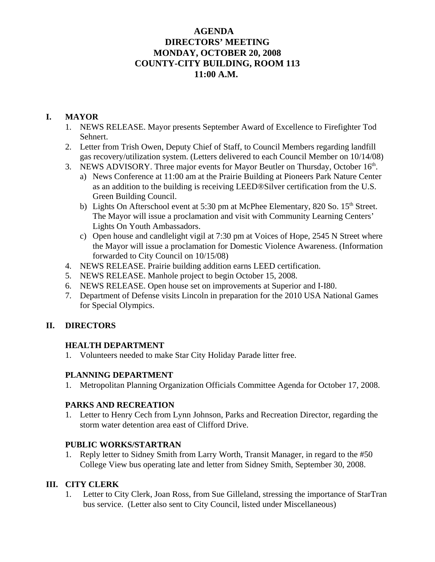# **AGENDA DIRECTORS' MEETING MONDAY, OCTOBER 20, 2008 COUNTY-CITY BUILDING, ROOM 113 11:00 A.M.**

# **I. MAYOR**

- 1. NEWS RELEASE. Mayor presents September Award of Excellence to Firefighter Tod Sehnert.
- 2. Letter from Trish Owen, Deputy Chief of Staff, to Council Members regarding landfill gas recovery/utilization system. (Letters delivered to each Council Member on 10/14/08)
- 3. NEWS ADVISORY. Three major events for Mayor Beutler on Thursday, October  $16<sup>th</sup>$ .
	- a) News Conference at 11:00 am at the Prairie Building at Pioneers Park Nature Center as an addition to the building is receiving LEED®Silver certification from the U.S. Green Building Council.
	- b) Lights On Afterschool event at 5:30 pm at McPhee Elementary, 820 So. 15<sup>th</sup> Street. The Mayor will issue a proclamation and visit with Community Learning Centers' Lights On Youth Ambassadors.
	- c) Open house and candlelight vigil at 7:30 pm at Voices of Hope, 2545 N Street where the Mayor will issue a proclamation for Domestic Violence Awareness. (Information forwarded to City Council on 10/15/08)
- 4. NEWS RELEASE. Prairie building addition earns LEED certification.
- 5. NEWS RELEASE. Manhole project to begin October 15, 2008.
- 6. NEWS RELEASE. Open house set on improvements at Superior and I-I80.
- 7. Department of Defense visits Lincoln in preparation for the 2010 USA National Games for Special Olympics.

# **II. DIRECTORS**

# **HEALTH DEPARTMENT**

1. Volunteers needed to make Star City Holiday Parade litter free.

### **PLANNING DEPARTMENT**

1. Metropolitan Planning Organization Officials Committee Agenda for October 17, 2008.

### **PARKS AND RECREATION**

1. Letter to Henry Cech from Lynn Johnson, Parks and Recreation Director, regarding the storm water detention area east of Clifford Drive.

### **PUBLIC WORKS/STARTRAN**

1. Reply letter to Sidney Smith from Larry Worth, Transit Manager, in regard to the #50 College View bus operating late and letter from Sidney Smith, September 30, 2008.

# **III. CITY CLERK**

1. Letter to City Clerk, Joan Ross, from Sue Gilleland, stressing the importance of StarTran bus service. (Letter also sent to City Council, listed under Miscellaneous)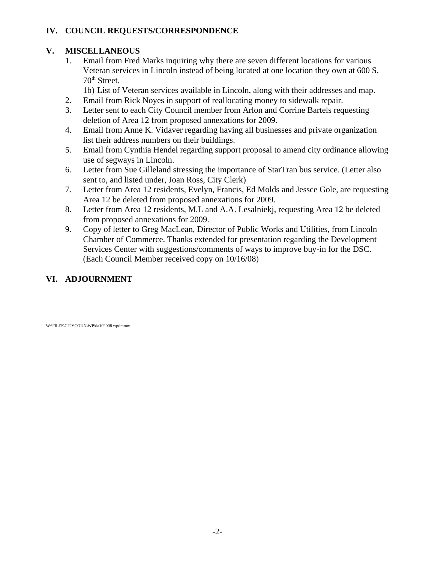# **IV. COUNCIL REQUESTS/CORRESPONDENCE**

# **V. MISCELLANEOUS**

1. Email from Fred Marks inquiring why there are seven different locations for various Veteran services in Lincoln instead of being located at one location they own at 600 S. 70th Street.

1b) List of Veteran services available in Lincoln, along with their addresses and map.

- 2. Email from Rick Noyes in support of reallocating money to sidewalk repair.
- 3. Letter sent to each City Council member from Arlon and Corrine Bartels requesting deletion of Area 12 from proposed annexations for 2009.
- 4. Email from Anne K. Vidaver regarding having all businesses and private organization list their address numbers on their buildings.
- 5. Email from Cynthia Hendel regarding support proposal to amend city ordinance allowing use of segways in Lincoln.
- 6. Letter from Sue Gilleland stressing the importance of StarTran bus service. (Letter also sent to, and listed under, Joan Ross, City Clerk)
- 7. Letter from Area 12 residents, Evelyn, Francis, Ed Molds and Jessce Gole, are requesting Area 12 be deleted from proposed annexations for 2009.
- 8. Letter from Area 12 residents, M.L and A.A. Lesalniekj, requesting Area 12 be deleted from proposed annexations for 2009.
- 9. Copy of letter to Greg MacLean, Director of Public Works and Utilities, from Lincoln Chamber of Commerce. Thanks extended for presentation regarding the Development Services Center with suggestions/comments of ways to improve buy-in for the DSC. (Each Council Member received copy on 10/16/08)

# **VI. ADJOURNMENT**

W:\FILES\CITYCOUN\WP\da102008.wpdmmm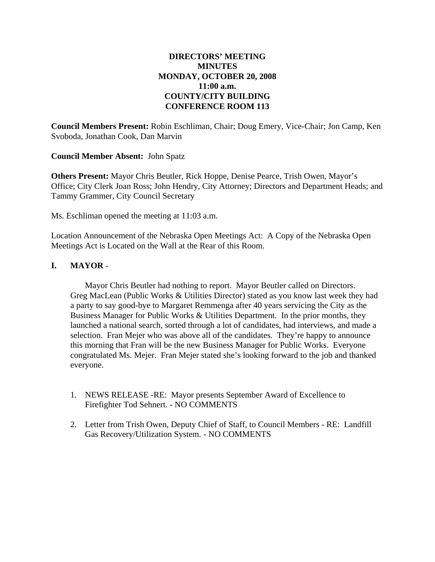# **DIRECTORS' MEETING MINUTES MONDAY, OCTOBER 20, 2008 11:00 a.m. COUNTY/CITY BUILDING CONFERENCE ROOM 113**

**Council Members Present:** Robin Eschliman, Chair; Doug Emery, Vice-Chair; Jon Camp, Ken Svoboda, Jonathan Cook, Dan Marvin

**Council Member Absent:** John Spatz

**Others Present:** Mayor Chris Beutler, Rick Hoppe, Denise Pearce, Trish Owen, Mayor's Office; City Clerk Joan Ross; John Hendry, City Attorney; Directors and Department Heads; and Tammy Grammer, City Council Secretary

Ms. Eschliman opened the meeting at 11:03 a.m.

Location Announcement of the Nebraska Open Meetings Act: A Copy of the Nebraska Open Meetings Act is Located on the Wall at the Rear of this Room.

### **I. MAYOR** -

Mayor Chris Beutler had nothing to report. Mayor Beutler called on Directors. Greg MacLean (Public Works & Utilities Director) stated as you know last week they had a party to say good-bye to Margaret Remmenga after 40 years servicing the City as the Business Manager for Public Works & Utilities Department. In the prior months, they launched a national search, sorted through a lot of candidates, had interviews, and made a selection. Fran Mejer who was above all of the candidates. They're happy to announce this morning that Fran will be the new Business Manager for Public Works. Everyone congratulated Ms. Mejer. Fran Mejer stated she's looking forward to the job and thanked everyone.

- 1. NEWS RELEASE -RE: Mayor presents September Award of Excellence to Firefighter Tod Sehnert. - NO COMMENTS
- 2. Letter from Trish Owen, Deputy Chief of Staff, to Council Members RE: Landfill Gas Recovery/Utilization System. - NO COMMENTS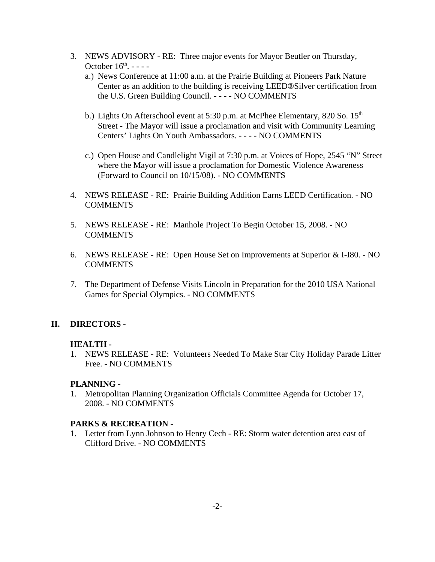- 3. NEWS ADVISORY RE: Three major events for Mayor Beutler on Thursday, October  $16<sup>th</sup>$ . - - -
	- a.) News Conference at 11:00 a.m. at the Prairie Building at Pioneers Park Nature Center as an addition to the building is receiving LEED®Silver certification from the U.S. Green Building Council. - - - - NO COMMENTS
	- b.) Lights On Afterschool event at 5:30 p.m. at McPhee Elementary, 820 So.  $15<sup>th</sup>$ Street - The Mayor will issue a proclamation and visit with Community Learning Centers' Lights On Youth Ambassadors. - - - - NO COMMENTS
	- c.) Open House and Candlelight Vigil at 7:30 p.m. at Voices of Hope, 2545 "N" Street where the Mayor will issue a proclamation for Domestic Violence Awareness (Forward to Council on 10/15/08). - NO COMMENTS
- 4. NEWS RELEASE RE: Prairie Building Addition Earns LEED Certification. NO COMMENTS
- 5. NEWS RELEASE RE: Manhole Project To Begin October 15, 2008. NO COMMENTS
- 6. NEWS RELEASE RE: Open House Set on Improvements at Superior & I-I80. NO COMMENTS
- 7. The Department of Defense Visits Lincoln in Preparation for the 2010 USA National Games for Special Olympics. - NO COMMENTS

# **II. DIRECTORS -**

### **HEALTH -**

1. NEWS RELEASE - RE: Volunteers Needed To Make Star City Holiday Parade Litter Free. - NO COMMENTS

# **PLANNING -**

1. Metropolitan Planning Organization Officials Committee Agenda for October 17, 2008. - NO COMMENTS

# **PARKS & RECREATION -**

1. Letter from Lynn Johnson to Henry Cech - RE: Storm water detention area east of Clifford Drive. - NO COMMENTS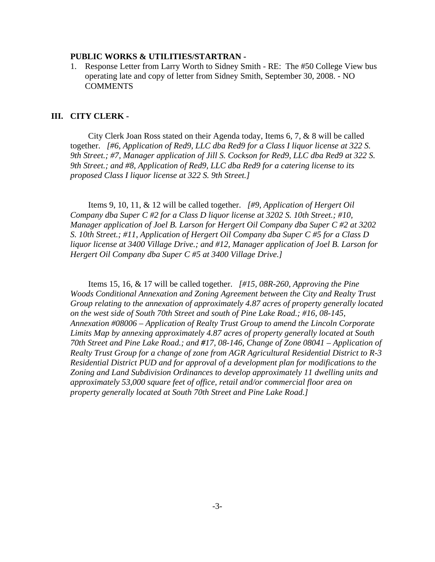#### **PUBLIC WORKS & UTILITIES/STARTRAN -**

1. Response Letter from Larry Worth to Sidney Smith - RE: The #50 College View bus operating late and copy of letter from Sidney Smith, September 30, 2008. - NO COMMENTS

#### **III. CITY CLERK -**

City Clerk Joan Ross stated on their Agenda today, Items 6, 7, & 8 will be called together. *[#6, Application of Red9, LLC dba Red9 for a Class I liquor license at 322 S. 9th Street.; #7, Manager application of Jill S. Cockson for Red9, LLC dba Red9 at 322 S. 9th Street.; and #8, Application of Red9, LLC dba Red9 for a catering license to its proposed Class I liquor license at 322 S. 9th Street.]*

Items 9, 10, 11, & 12 will be called together. *[#9, Application of Hergert Oil Company dba Super C #2 for a Class D liquor license at 3202 S. 10th Street.; #10, Manager application of Joel B. Larson for Hergert Oil Company dba Super C #2 at 3202 S. 10th Street.; #11, Application of Hergert Oil Company dba Super C #5 for a Class D liquor license at 3400 Village Drive.; and #12, Manager application of Joel B. Larson for Hergert Oil Company dba Super C #5 at 3400 Village Drive.]*

Items 15, 16, & 17 will be called together. *[#15, 08R-260, Approving the Pine Woods Conditional Annexation and Zoning Agreement between the City and Realty Trust Group relating to the annexation of approximately 4.87 acres of property generally located on the west side of South 70th Street and south of Pine Lake Road.; #16, 08-145, Annexation #08006 – Application of Realty Trust Group to amend the Lincoln Corporate Limits Map by annexing approximately 4.87 acres of property generally located at South 70th Street and Pine Lake Road.; and #17, 08-146, Change of Zone 08041 – Application of Realty Trust Group for a change of zone from AGR Agricultural Residential District to R-3 Residential District PUD and for approval of a development plan for modifications to the Zoning and Land Subdivision Ordinances to develop approximately 11 dwelling units and approximately 53,000 square feet of office, retail and/or commercial floor area on property generally located at South 70th Street and Pine Lake Road.]*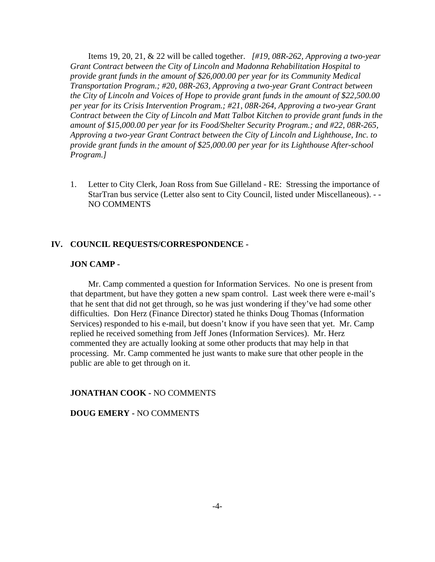Items 19, 20, 21, & 22 will be called together. *[#19, 08R-262, Approving a two-year Grant Contract between the City of Lincoln and Madonna Rehabilitation Hospital to provide grant funds in the amount of \$26,000.00 per year for its Community Medical Transportation Program.; #20, 08R-263, Approving a two-year Grant Contract between the City of Lincoln and Voices of Hope to provide grant funds in the amount of \$22,500.00 per year for its Crisis Intervention Program.; #21, 08R-264, Approving a two-year Grant Contract between the City of Lincoln and Matt Talbot Kitchen to provide grant funds in the amount of \$15,000.00 per year for its Food/Shelter Security Program.; and #22, 08R-265, Approving a two-year Grant Contract between the City of Lincoln and Lighthouse, Inc. to provide grant funds in the amount of \$25,000.00 per year for its Lighthouse After-school Program.]*

1. Letter to City Clerk, Joan Ross from Sue Gilleland - RE: Stressing the importance of StarTran bus service (Letter also sent to City Council, listed under Miscellaneous). - - NO COMMENTS

### **IV. COUNCIL REQUESTS/CORRESPONDENCE -**

#### **JON CAMP -**

Mr. Camp commented a question for Information Services. No one is present from that department, but have they gotten a new spam control. Last week there were e-mail's that he sent that did not get through, so he was just wondering if they've had some other difficulties. Don Herz (Finance Director) stated he thinks Doug Thomas (Information Services) responded to his e-mail, but doesn't know if you have seen that yet. Mr. Camp replied he received something from Jeff Jones (Information Services). Mr. Herz commented they are actually looking at some other products that may help in that processing. Mr. Camp commented he just wants to make sure that other people in the public are able to get through on it.

#### **JONATHAN COOK -** NO COMMENTS

#### **DOUG EMERY -** NO COMMENTS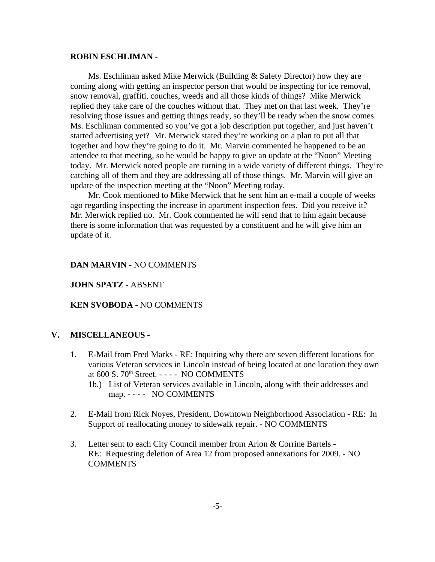#### **ROBIN ESCHLIMAN -**

Ms. Eschliman asked Mike Merwick (Building & Safety Director) how they are coming along with getting an inspector person that would be inspecting for ice removal, snow removal, graffiti, couches, weeds and all those kinds of things? Mike Merwick replied they take care of the couches without that. They met on that last week. They're resolving those issues and getting things ready, so they'll be ready when the snow comes. Ms. Eschliman commented so you've got a job description put together, and just haven't started advertising yet? Mr. Merwick stated they're working on a plan to put all that together and how they're going to do it. Mr. Marvin commented he happened to be an attendee to that meeting, so he would be happy to give an update at the "Noon" Meeting today. Mr. Merwick noted people are turning in a wide variety of different things. They're catching all of them and they are addressing all of those things. Mr. Marvin will give an update of the inspection meeting at the "Noon" Meeting today.

Mr. Cook mentioned to Mike Merwick that he sent him an e-mail a couple of weeks ago regarding inspecting the increase in apartment inspection fees. Did you receive it? Mr. Merwick replied no. Mr. Cook commented he will send that to him again because there is some information that was requested by a constituent and he will give him an update of it.

#### **DAN MARVIN -** NO COMMENTS

#### **JOHN SPATZ -** ABSENT

### **KEN SVOBODA -** NO COMMENTS

#### **V. MISCELLANEOUS -**

- 1. E-Mail from Fred Marks RE: Inquiring why there are seven different locations for various Veteran services in Lincoln instead of being located at one location they own at 600 S. 70<sup>th</sup> Street. - - - - NO COMMENTS
	- 1b.) List of Veteran services available in Lincoln, along with their addresses and map. - - - - NO COMMENTS
- 2. E-Mail from Rick Noyes, President, Downtown Neighborhood Association RE: In Support of reallocating money to sidewalk repair. - NO COMMENTS
- 3. Letter sent to each City Council member from Arlon & Corrine Bartels RE: Requesting deletion of Area 12 from proposed annexations for 2009. - NO COMMENTS